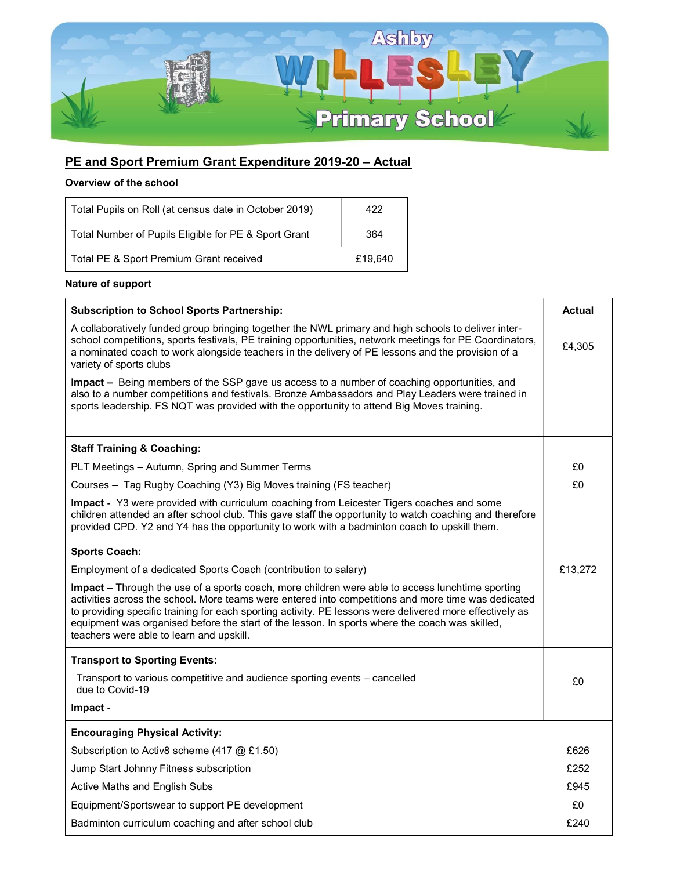

## PE and Sport Premium Grant Expenditure 2019-20 - Actual

## Overview of the school

| Total Pupils on Roll (at census date in October 2019) | 422     |
|-------------------------------------------------------|---------|
| Total Number of Pupils Eligible for PE & Sport Grant  | 364     |
| Total PE & Sport Premium Grant received               | £19.640 |

## Nature of support

| <b>Subscription to School Sports Partnership:</b>                                                                                                                                                                                                                                                                                                                                                                                                                 | <b>Actual</b> |
|-------------------------------------------------------------------------------------------------------------------------------------------------------------------------------------------------------------------------------------------------------------------------------------------------------------------------------------------------------------------------------------------------------------------------------------------------------------------|---------------|
| A collaboratively funded group bringing together the NWL primary and high schools to deliver inter-<br>school competitions, sports festivals, PE training opportunities, network meetings for PE Coordinators,<br>a nominated coach to work alongside teachers in the delivery of PE lessons and the provision of a<br>variety of sports clubs                                                                                                                    | £4,305        |
| Impact - Being members of the SSP gave us access to a number of coaching opportunities, and<br>also to a number competitions and festivals. Bronze Ambassadors and Play Leaders were trained in<br>sports leadership. FS NQT was provided with the opportunity to attend Big Moves training.                                                                                                                                                                      |               |
| <b>Staff Training &amp; Coaching:</b>                                                                                                                                                                                                                                                                                                                                                                                                                             |               |
| PLT Meetings - Autumn, Spring and Summer Terms                                                                                                                                                                                                                                                                                                                                                                                                                    | £0            |
| Courses - Tag Rugby Coaching (Y3) Big Moves training (FS teacher)                                                                                                                                                                                                                                                                                                                                                                                                 | £0            |
| Impact - Y3 were provided with curriculum coaching from Leicester Tigers coaches and some<br>children attended an after school club. This gave staff the opportunity to watch coaching and therefore<br>provided CPD. Y2 and Y4 has the opportunity to work with a badminton coach to upskill them.                                                                                                                                                               |               |
| <b>Sports Coach:</b>                                                                                                                                                                                                                                                                                                                                                                                                                                              |               |
| Employment of a dedicated Sports Coach (contribution to salary)                                                                                                                                                                                                                                                                                                                                                                                                   | £13,272       |
| Impact – Through the use of a sports coach, more children were able to access lunchtime sporting<br>activities across the school. More teams were entered into competitions and more time was dedicated<br>to providing specific training for each sporting activity. PE lessons were delivered more effectively as<br>equipment was organised before the start of the lesson. In sports where the coach was skilled,<br>teachers were able to learn and upskill. |               |
| <b>Transport to Sporting Events:</b>                                                                                                                                                                                                                                                                                                                                                                                                                              |               |
| Transport to various competitive and audience sporting events - cancelled<br>due to Covid-19                                                                                                                                                                                                                                                                                                                                                                      | £0            |
| Impact -                                                                                                                                                                                                                                                                                                                                                                                                                                                          |               |
| <b>Encouraging Physical Activity:</b>                                                                                                                                                                                                                                                                                                                                                                                                                             |               |
| Subscription to Activ8 scheme (417 @ £1.50)                                                                                                                                                                                                                                                                                                                                                                                                                       | £626          |
| Jump Start Johnny Fitness subscription                                                                                                                                                                                                                                                                                                                                                                                                                            | £252          |
| <b>Active Maths and English Subs</b>                                                                                                                                                                                                                                                                                                                                                                                                                              | £945          |
| Equipment/Sportswear to support PE development                                                                                                                                                                                                                                                                                                                                                                                                                    | £0            |
| Badminton curriculum coaching and after school club                                                                                                                                                                                                                                                                                                                                                                                                               | £240          |